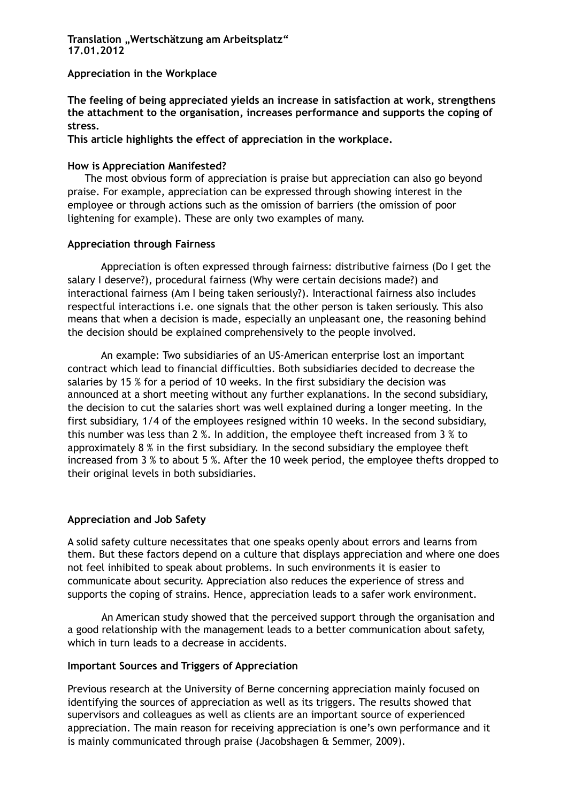### **Translation "Wertschätzung am Arbeitsplatz" 17.01.2012**

### **Appreciation in the Workplace**

**The feeling of being appreciated yields an increase in satisfaction at work, strengthens the attachment to the organisation, increases performance and supports the coping of stress.** 

**This article highlights the effect of appreciation in the workplace.** 

## **How is Appreciation Manifested?**

The most obvious form of appreciation is praise but appreciation can also go beyond praise. For example, appreciation can be expressed through showing interest in the employee or through actions such as the omission of barriers (the omission of poor lightening for example). These are only two examples of many.

## **Appreciation through Fairness**

Appreciation is often expressed through fairness: distributive fairness (Do I get the salary I deserve?), procedural fairness (Why were certain decisions made?) and interactional fairness (Am I being taken seriously?). Interactional fairness also includes respectful interactions i.e. one signals that the other person is taken seriously. This also means that when a decision is made, especially an unpleasant one, the reasoning behind the decision should be explained comprehensively to the people involved.

An example: Two subsidiaries of an US-American enterprise lost an important contract which lead to financial difficulties. Both subsidiaries decided to decrease the salaries by 15 % for a period of 10 weeks. In the first subsidiary the decision was announced at a short meeting without any further explanations. In the second subsidiary, the decision to cut the salaries short was well explained during a longer meeting. In the first subsidiary, 1/4 of the employees resigned within 10 weeks. In the second subsidiary, this number was less than 2 %. In addition, the employee theft increased from 3 % to approximately 8 % in the first subsidiary. In the second subsidiary the employee theft increased from 3 % to about 5 %. After the 10 week period, the employee thefts dropped to their original levels in both subsidiaries.

# **Appreciation and Job Safety**

A solid safety culture necessitates that one speaks openly about errors and learns from them. But these factors depend on a culture that displays appreciation and where one does not feel inhibited to speak about problems. In such environments it is easier to communicate about security. Appreciation also reduces the experience of stress and supports the coping of strains. Hence, appreciation leads to a safer work environment.

 An American study showed that the perceived support through the organisation and a good relationship with the management leads to a better communication about safety, which in turn leads to a decrease in accidents.

# **Important Sources and Triggers of Appreciation**

Previous research at the University of Berne concerning appreciation mainly focused on identifying the sources of appreciation as well as its triggers. The results showed that supervisors and colleagues as well as clients are an important source of experienced appreciation. The main reason for receiving appreciation is one's own performance and it is mainly communicated through praise (Jacobshagen & Semmer, 2009).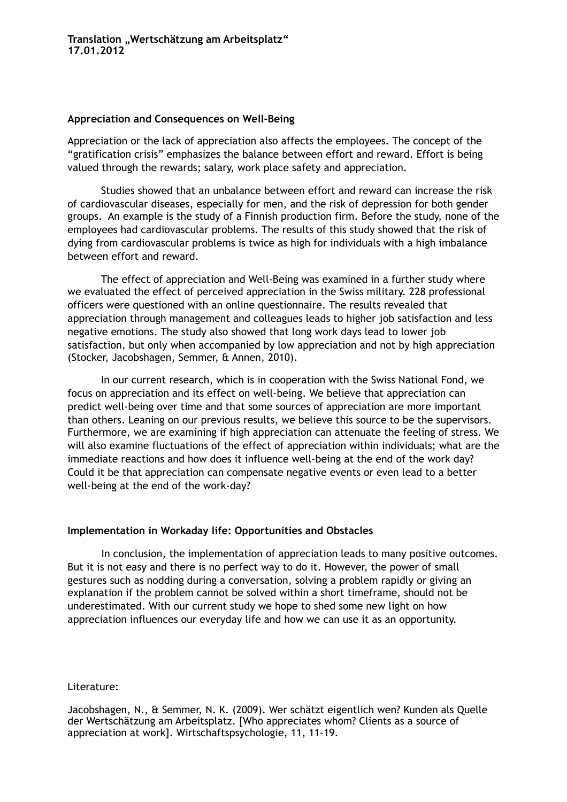### **Appreciation and Consequences on Well-Being**

Appreciation or the lack of appreciation also affects the employees. The concept of the "gratification crisis" emphasizes the balance between effort and reward. Effort is being valued through the rewards; salary, work place safety and appreciation.

Studies showed that an unbalance between effort and reward can increase the risk of cardiovascular diseases, especially for men, and the risk of depression for both gender groups. An example is the study of a Finnish production firm. Before the study, none of the employees had cardiovascular problems. The results of this study showed that the risk of dying from cardiovascular problems is twice as high for individuals with a high imbalance between effort and reward.

The effect of appreciation and Well-Being was examined in a further study where we evaluated the effect of perceived appreciation in the Swiss military. 228 professional officers were questioned with an online questionnaire. The results revealed that appreciation through management and colleagues leads to higher job satisfaction and less negative emotions. The study also showed that long work days lead to lower job satisfaction, but only when accompanied by low appreciation and not by high appreciation (Stocker, Jacobshagen, Semmer, & Annen, 2010).

In our current research, which is in cooperation with the Swiss National Fond, we focus on appreciation and its effect on well-being. We believe that appreciation can predict well-being over time and that some sources of appreciation are more important than others. Leaning on our previous results, we believe this source to be the supervisors. Furthermore, we are examining if high appreciation can attenuate the feeling of stress. We will also examine fluctuations of the effect of appreciation within individuals; what are the immediate reactions and how does it influence well-being at the end of the work day? Could it be that appreciation can compensate negative events or even lead to a better well-being at the end of the work-day?

### **Implementation in Workaday life: Opportunities and Obstacles**

 In conclusion, the implementation of appreciation leads to many positive outcomes. But it is not easy and there is no perfect way to do it. However, the power of small gestures such as nodding during a conversation, solving a problem rapidly or giving an explanation if the problem cannot be solved within a short timeframe, should not be underestimated. With our current study we hope to shed some new light on how appreciation influences our everyday life and how we can use it as an opportunity.

### Literature:

Jacobshagen, N., & Semmer, N. K. (2009). Wer schätzt eigentlich wen? Kunden als Quelle der Wertschätzung am Arbeitsplatz. [Who appreciates whom? Clients as a source of appreciation at work]. Wirtschaftspsychologie, 11, 11-19.